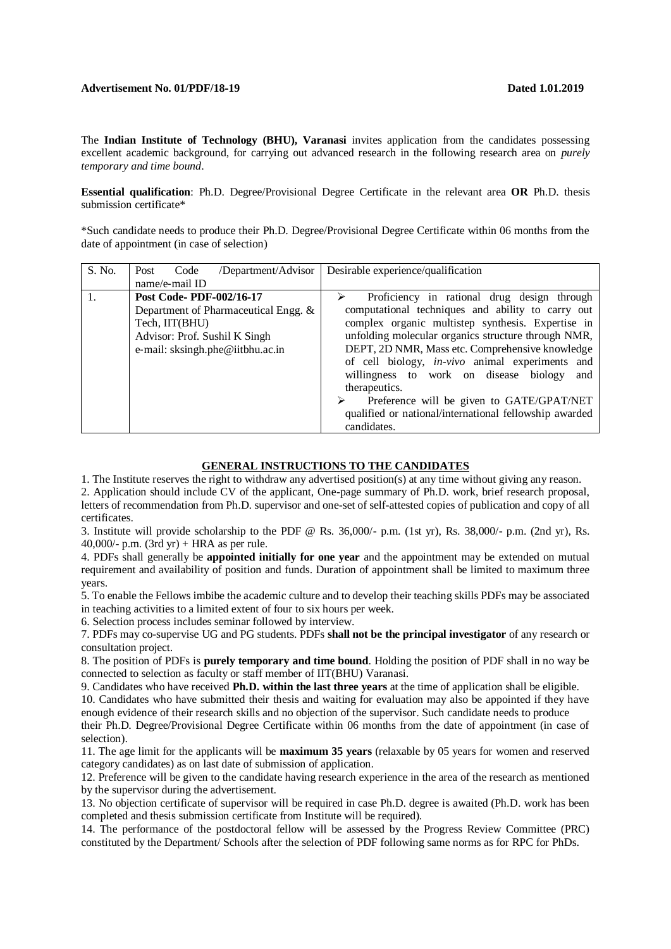## **Advertisement No. 01/PDF/18**‐**19 Dated 1.01.2019**

The **Indian Institute of Technology (BHU), Varanasi** invites application from the candidates possessing excellent academic background, for carrying out advanced research in the following research area on *purely temporary and time bound*.

**Essential qualification**: Ph.D. Degree/Provisional Degree Certificate in the relevant area **OR** Ph.D. thesis submission certificate\*

\*Such candidate needs to produce their Ph.D. Degree/Provisional Degree Certificate within 06 months from the date of appointment (in case of selection)

| S. No. | /Department/Advisor<br>Post<br>Code                                                                                                                    | Desirable experience/qualification                                                                                                                                                                                                                                                                                                                                                                                                                                                                   |
|--------|--------------------------------------------------------------------------------------------------------------------------------------------------------|------------------------------------------------------------------------------------------------------------------------------------------------------------------------------------------------------------------------------------------------------------------------------------------------------------------------------------------------------------------------------------------------------------------------------------------------------------------------------------------------------|
|        | name/e-mail ID                                                                                                                                         |                                                                                                                                                                                                                                                                                                                                                                                                                                                                                                      |
|        | Post Code-PDF-002/16-17<br>Department of Pharmaceutical Engg. &<br>Tech, IIT(BHU)<br>Advisor: Prof. Sushil K Singh<br>e-mail: sksingh.phe@iitbhu.ac.in | Proficiency in rational drug design through<br>computational techniques and ability to carry out<br>complex organic multistep synthesis. Expertise in<br>unfolding molecular organics structure through NMR,<br>DEPT, 2D NMR, Mass etc. Comprehensive knowledge<br>of cell biology, <i>in-vivo</i> animal experiments and<br>willingness to work on disease biology and<br>therapeutics.<br>Preference will be given to GATE/GPAT/NET<br>≻<br>qualified or national/international fellowship awarded |
|        |                                                                                                                                                        | candidates.                                                                                                                                                                                                                                                                                                                                                                                                                                                                                          |

## **GENERAL INSTRUCTIONS TO THE CANDIDATES**

1. The Institute reserves the right to withdraw any advertised position(s) at any time without giving any reason. 2. Application should include CV of the applicant, One-page summary of Ph.D. work, brief research proposal, letters of recommendation from Ph.D. supervisor and one-set of self-attested copies of publication and copy of all certificates.

3. Institute will provide scholarship to the PDF @ Rs. 36,000/- p.m. (1st yr), Rs. 38,000/- p.m. (2nd yr), Rs. 40,000/- p.m.  $(3rd \text{ yr}) + HRA$  as per rule.

4. PDFs shall generally be **appointed initially for one year** and the appointment may be extended on mutual requirement and availability of position and funds. Duration of appointment shall be limited to maximum three years.

5. To enable the Fellows imbibe the academic culture and to develop their teaching skills PDFs may be associated in teaching activities to a limited extent of four to six hours per week.

6. Selection process includes seminar followed by interview.

7. PDFs may co-supervise UG and PG students. PDFs **shall not be the principal investigator** of any research or consultation project.

8. The position of PDFs is **purely temporary and time bound**. Holding the position of PDF shall in no way be connected to selection as faculty or staff member of IIT(BHU) Varanasi.

9. Candidates who have received **Ph.D. within the last three years** at the time of application shall be eligible.

10. Candidates who have submitted their thesis and waiting for evaluation may also be appointed if they have enough evidence of their research skills and no objection of the supervisor. Such candidate needs to produce

their Ph.D. Degree/Provisional Degree Certificate within 06 months from the date of appointment (in case of selection).

11. The age limit for the applicants will be **maximum 35 years** (relaxable by 05 years for women and reserved category candidates) as on last date of submission of application.

12. Preference will be given to the candidate having research experience in the area of the research as mentioned by the supervisor during the advertisement.

13. No objection certificate of supervisor will be required in case Ph.D. degree is awaited (Ph.D. work has been completed and thesis submission certificate from Institute will be required).

14. The performance of the postdoctoral fellow will be assessed by the Progress Review Committee (PRC) constituted by the Department/ Schools after the selection of PDF following same norms as for RPC for PhDs.